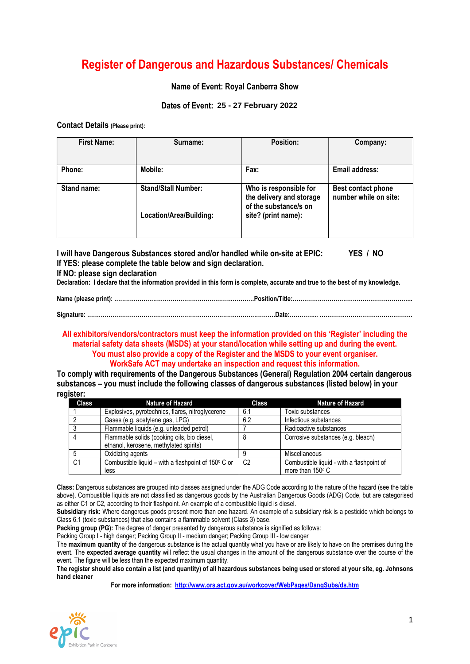# Register of Dangerous and Hazardous Substances/ Chemicals

## Name of Event: Royal Canberra Show

## Dates of Event: 25 - 27 February 2022

#### Contact Details (Please print):

| <b>First Name:</b> | Surname:                   | <b>Position:</b>                                                            | Company:                                    |  |  |
|--------------------|----------------------------|-----------------------------------------------------------------------------|---------------------------------------------|--|--|
| Phone:             | Mobile:                    | Fax:                                                                        | Email address:                              |  |  |
| Stand name:        | <b>Stand/Stall Number:</b> | Who is responsible for<br>the delivery and storage<br>of the substance/s on | Best contact phone<br>number while on site: |  |  |
|                    | Location/Area/Building:    | site? (print name):                                                         |                                             |  |  |

I will have Dangerous Substances stored and/or handled while on-site at EPIC: YES / NO If YES: please complete the table below and sign declaration.

#### If NO: please sign declaration

Declaration: I declare that the information provided in this form is complete, accurate and true to the best of my knowledge.

| Signature: ……………………………………………………………………………………Date:………………………………………………………………… |
|---------------------------------------------------------------------------|

#### All exhibitors/vendors/contractors must keep the information provided on this 'Register' including the material safety data sheets (MSDS) at your stand/location while setting up and during the event. You must also provide a copy of the Register and the MSDS to your event organiser. WorkSafe ACT may undertake an inspection and request this information.

To comply with requirements of the Dangerous Substances (General) Regulation 2004 certain dangerous substances – you must include the following classes of dangerous substances (listed below) in your register:

| <b>Class</b>   | Nature of Hazard                                    | <b>Class</b>   | <b>Nature of Hazard</b>                   |
|----------------|-----------------------------------------------------|----------------|-------------------------------------------|
|                | Explosives, pyrotechnics, flares, nitroglycerene    | 6.1            | Toxic substances                          |
|                | Gases (e.g. acetylene gas, LPG)                     | 6.2            | Infectious substances                     |
|                | Flammable liquids (e.g. unleaded petrol)            |                | Radioactive substances                    |
|                | Flammable solids (cooking oils, bio diesel,         |                | Corrosive substances (e.g. bleach)        |
|                | ethanol, kerosene, methylated spirits)              |                |                                           |
|                | Oxidizing agents                                    |                | Miscellaneous                             |
| C <sub>1</sub> | Combustible liquid – with a flashpoint of 150° C or | C <sub>2</sub> | Combustible liquid - with a flashpoint of |
|                | less                                                |                | more than 150° C                          |

Class: Dangerous substances are grouped into classes assigned under the ADG Code according to the nature of the hazard (see the table above). Combustible liquids are not classified as dangerous goods by the Australian Dangerous Goods (ADG) Code, but are categorised as either C1 or C2, according to their flashpoint. An example of a combustible liquid is diesel.

Subsidiary risk: Where dangerous goods present more than one hazard. An example of a subsidiary risk is a pesticide which belongs to Class 6.1 (toxic substances) that also contains a flammable solvent (Class 3) base.

Packing group (PG): The degree of danger presented by dangerous substance is signified as follows:

Packing Group I - high danger; Packing Group II - medium danger; Packing Group III - low danger

The maximum quantity of the dangerous substance is the actual quantity what you have or are likely to have on the premises during the event. The expected average quantity will reflect the usual changes in the amount of the dangerous substance over the course of the event. The figure will be less than the expected maximum quantity.

The register should also contain a list (and quantity) of all hazardous substances being used or stored at your site, eg. Johnsons hand cleaner

For more information: http://www.ors.act.gov.au/workcover/WebPages/DangSubs/ds.htm